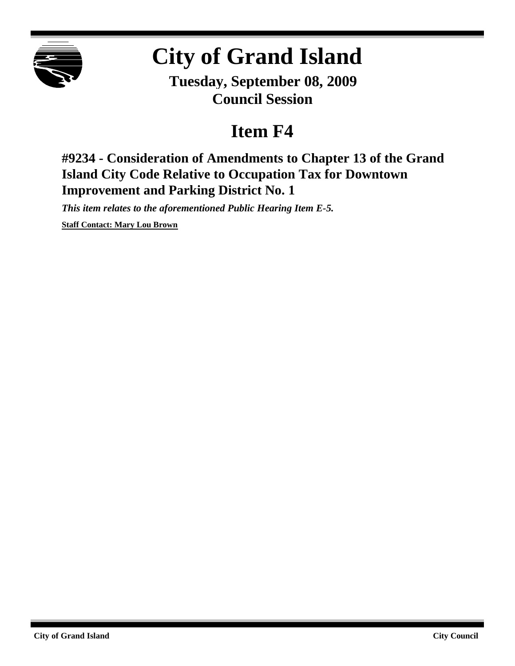

# **City of Grand Island**

**Tuesday, September 08, 2009 Council Session**

## **Item F4**

**#9234 - Consideration of Amendments to Chapter 13 of the Grand Island City Code Relative to Occupation Tax for Downtown Improvement and Parking District No. 1**

*This item relates to the aforementioned Public Hearing Item E-5.*

**Staff Contact: Mary Lou Brown**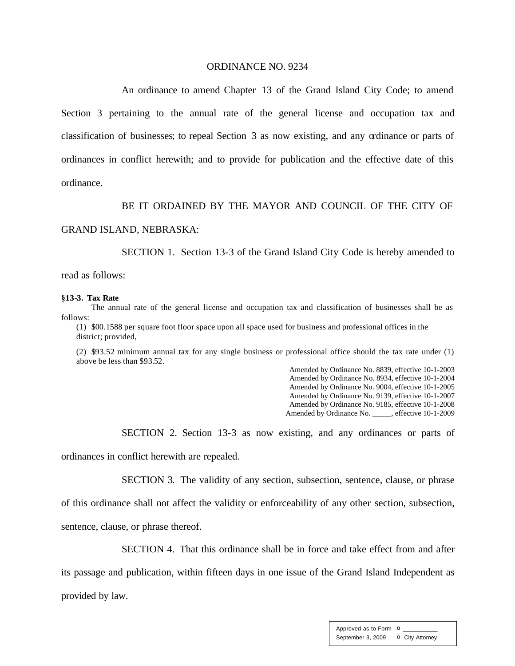#### ORDINANCE NO. 9234

An ordinance to amend Chapter 13 of the Grand Island City Code; to amend Section 3 pertaining to the annual rate of the general license and occupation tax and classification of businesses; to repeal Section 3 as now existing, and any ordinance or parts of ordinances in conflict herewith; and to provide for publication and the effective date of this ordinance.

#### BE IT ORDAINED BY THE MAYOR AND COUNCIL OF THE CITY OF

#### GRAND ISLAND, NEBRASKA:

SECTION 1. Section 13-3 of the Grand Island City Code is hereby amended to

read as follows:

#### **§13-3. Tax Rate**

The annual rate of the general license and occupation tax and classification of businesses shall be as follows:

(1) \$00.1588 per square foot floor space upon all space used for business and professional offices in the district; provided,

(2) \$93.52 minimum annual tax for any single business or professional office should the tax rate under (1) above be less than \$93.52.

Amended by Ordinance No. 8839, effective 10-1-2003 Amended by Ordinance No. 8934, effective 10-1-2004 Amended by Ordinance No. 9004, effective 10-1-2005 Amended by Ordinance No. 9139, effective 10-1-2007 Amended by Ordinance No. 9185, effective 10-1-2008 Amended by Ordinance No. \_\_\_\_\_, effective 10-1-2009

SECTION 2. Section 13-3 as now existing, and any ordinances or parts of ordinances in conflict herewith are repealed.

SECTION 3. The validity of any section, subsection, sentence, clause, or phrase of this ordinance shall not affect the validity or enforceability of any other section, subsection, sentence, clause, or phrase thereof.

SECTION 4. That this ordinance shall be in force and take effect from and after

its passage and publication, within fifteen days in one issue of the Grand Island Independent as provided by law.